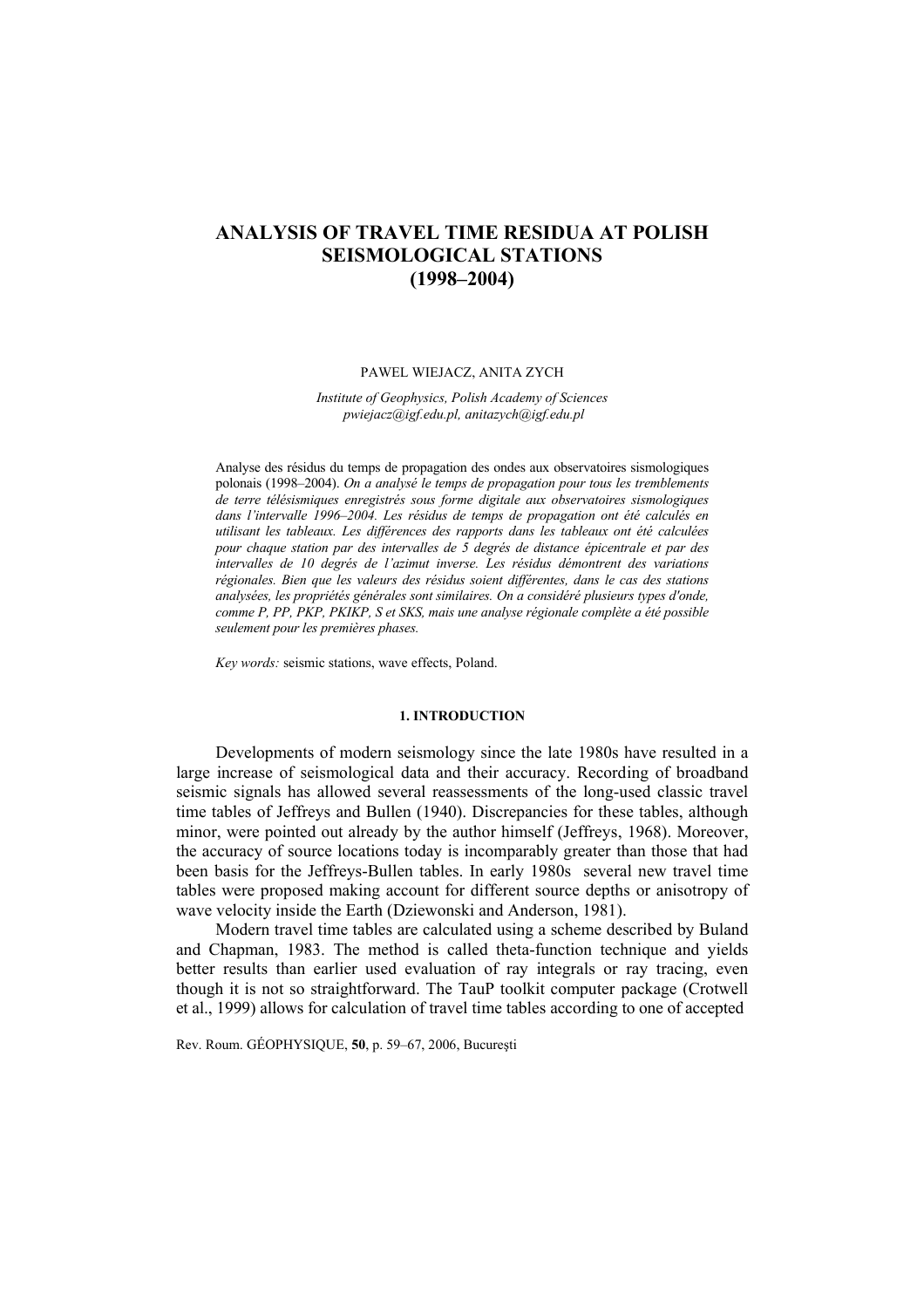# **ANALYSIS OF TRAVEL TIME RESIDUA AT POLISH SEISMOLOGICAL STATIONS (1998–2004)**

#### PAWEL WIEJACZ, ANITA ZYCH

*Institute of Geophysics, Polish Academy of Sciences pwiejacz@igf.edu.pl, anitazych@igf.edu.pl* 

Analyse des résidus du temps de propagation des ondes aux observatoires sismologiques polonais (1998–2004). *On a analysé le temps de propagation pour tous les tremblements de terre télésismiques enregistrés sous forme digitale aux observatoires sismologiques dans l'intervalle 1996–2004. Les résidus de temps de propagation ont été calculés en utilisant les tableaux. Les différences des rapports dans les tableaux ont été calculées pour chaque station par des intervalles de 5 degrés de distance épicentrale et par des intervalles de 10 degrés de l'azimut inverse. Les résidus démontrent des variations régionales. Bien que les valeurs des résidus soient différentes, dans le cas des stations analysées, les propriétés générales sont similaires. On a considéré plusieurs types d'onde, comme P, PP, PKP, PKIKP, S et SKS, mais une analyse régionale complète a été possible seulement pour les premières phases.*

*Key words:* seismic stations, wave effects, Poland.

# **1. INTRODUCTION**

Developments of modern seismology since the late 1980s have resulted in a large increase of seismological data and their accuracy. Recording of broadband seismic signals has allowed several reassessments of the long-used classic travel time tables of Jeffreys and Bullen (1940). Discrepancies for these tables, although minor, were pointed out already by the author himself (Jeffreys, 1968). Moreover, the accuracy of source locations today is incomparably greater than those that had been basis for the Jeffreys-Bullen tables. In early 1980s several new travel time tables were proposed making account for different source depths or anisotropy of wave velocity inside the Earth (Dziewonski and Anderson, 1981).

Modern travel time tables are calculated using a scheme described by Buland and Chapman, 1983. The method is called theta-function technique and yields better results than earlier used evaluation of ray integrals or ray tracing, even though it is not so straightforward. The TauP toolkit computer package (Crotwell et al., 1999) allows for calculation of travel time tables according to one of accepted

Rev. Roum. GÉOPHYSIQUE, **50**, p. 59–67, 2006, Bucureşti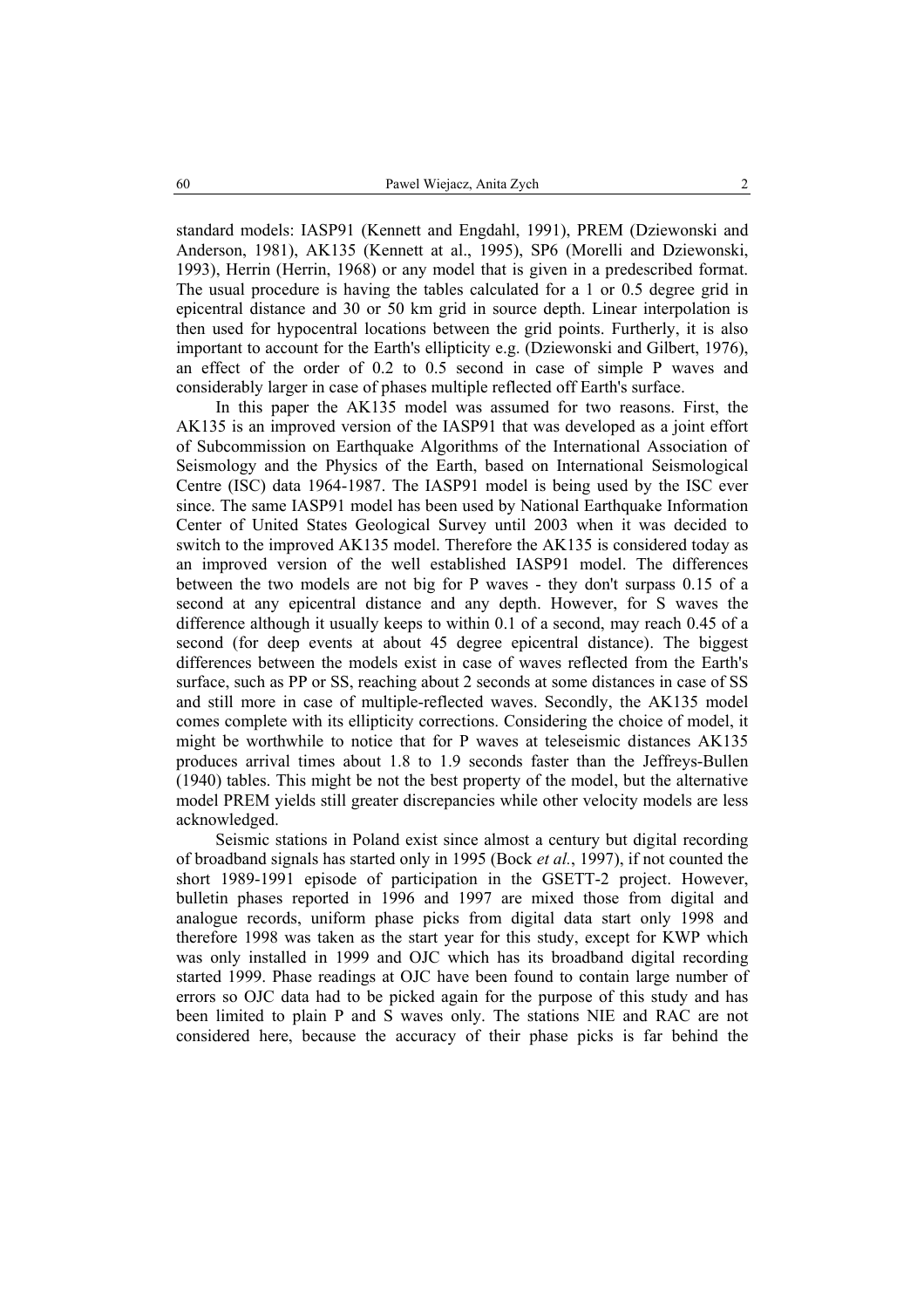standard models: IASP91 (Kennett and Engdahl, 1991), PREM (Dziewonski and Anderson, 1981), AK135 (Kennett at al., 1995), SP6 (Morelli and Dziewonski, 1993), Herrin (Herrin, 1968) or any model that is given in a predescribed format. The usual procedure is having the tables calculated for a 1 or 0.5 degree grid in epicentral distance and 30 or 50 km grid in source depth. Linear interpolation is then used for hypocentral locations between the grid points. Furtherly, it is also important to account for the Earth's ellipticity e.g. (Dziewonski and Gilbert, 1976), an effect of the order of 0.2 to 0.5 second in case of simple P waves and considerably larger in case of phases multiple reflected off Earth's surface.

In this paper the AK135 model was assumed for two reasons. First, the AK135 is an improved version of the IASP91 that was developed as a joint effort of Subcommission on Earthquake Algorithms of the International Association of Seismology and the Physics of the Earth, based on International Seismological Centre (ISC) data 1964-1987. The IASP91 model is being used by the ISC ever since. The same IASP91 model has been used by National Earthquake Information Center of United States Geological Survey until 2003 when it was decided to switch to the improved AK135 model. Therefore the AK135 is considered today as an improved version of the well established IASP91 model. The differences between the two models are not big for P waves - they don't surpass 0.15 of a second at any epicentral distance and any depth. However, for S waves the difference although it usually keeps to within 0.1 of a second, may reach 0.45 of a second (for deep events at about 45 degree epicentral distance). The biggest differences between the models exist in case of waves reflected from the Earth's surface, such as PP or SS, reaching about 2 seconds at some distances in case of SS and still more in case of multiple-reflected waves. Secondly, the AK135 model comes complete with its ellipticity corrections. Considering the choice of model, it might be worthwhile to notice that for P waves at teleseismic distances AK135 produces arrival times about 1.8 to 1.9 seconds faster than the Jeffreys-Bullen (1940) tables. This might be not the best property of the model, but the alternative model PREM yields still greater discrepancies while other velocity models are less acknowledged.

Seismic stations in Poland exist since almost a century but digital recording of broadband signals has started only in 1995 (Bock *et al.*, 1997), if not counted the short 1989-1991 episode of participation in the GSETT-2 project. However, bulletin phases reported in 1996 and 1997 are mixed those from digital and analogue records, uniform phase picks from digital data start only 1998 and therefore 1998 was taken as the start year for this study, except for KWP which was only installed in 1999 and OJC which has its broadband digital recording started 1999. Phase readings at OJC have been found to contain large number of errors so OJC data had to be picked again for the purpose of this study and has been limited to plain P and S waves only. The stations NIE and RAC are not considered here, because the accuracy of their phase picks is far behind the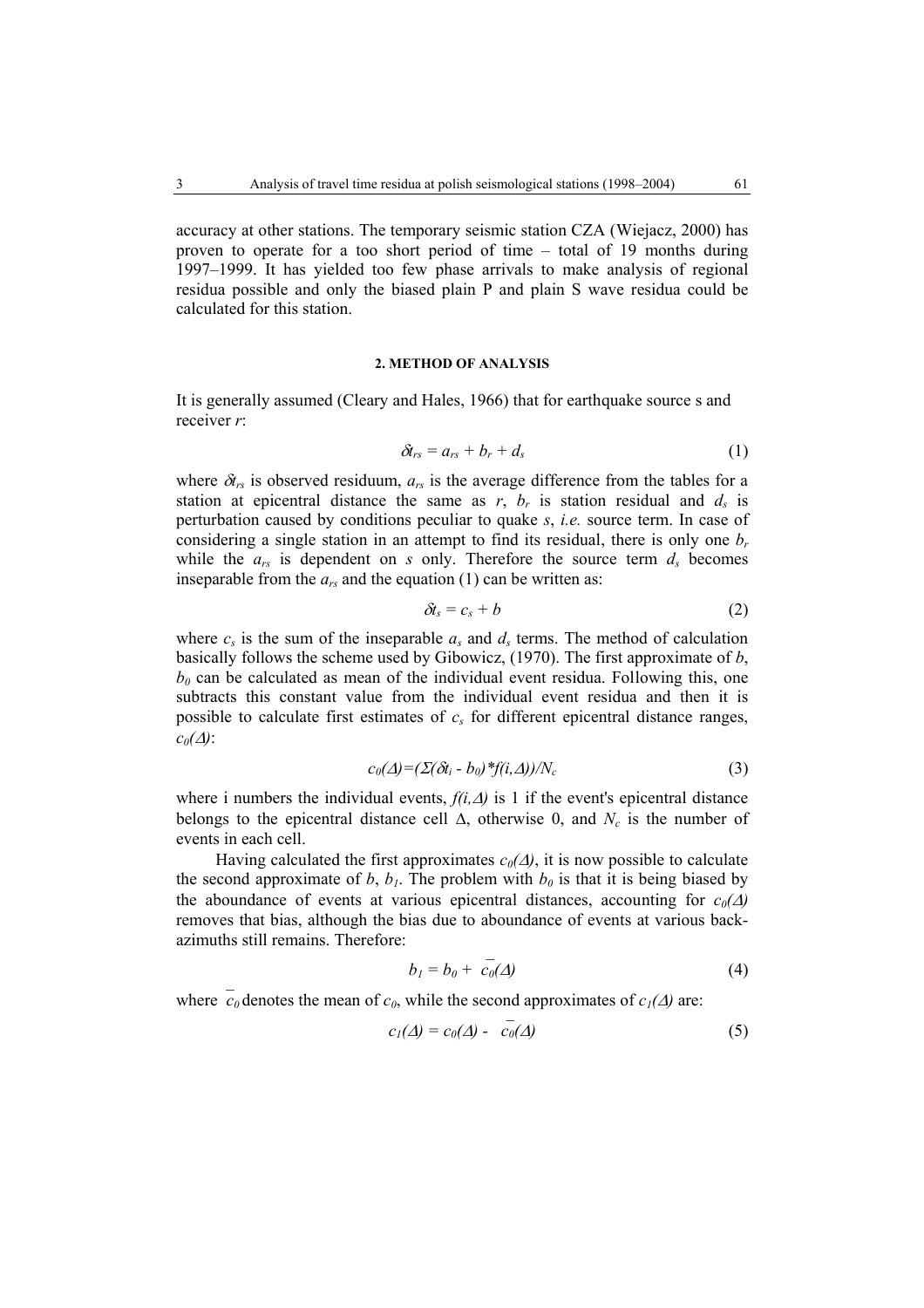accuracy at other stations. The temporary seismic station CZA (Wiejacz, 2000) has proven to operate for a too short period of time – total of 19 months during 1997–1999. It has yielded too few phase arrivals to make analysis of regional residua possible and only the biased plain P and plain S wave residua could be calculated for this station.

#### **2. METHOD OF ANALYSIS**

It is generally assumed (Cleary and Hales, 1966) that for earthquake source s and receiver *r*:

$$
\delta t_{rs} = a_{rs} + b_r + d_s \tag{1}
$$

where  $\delta t_{rs}$  is observed residuum,  $a_{rs}$  is the average difference from the tables for a station at epicentral distance the same as  $r$ ,  $b_r$  is station residual and  $d_s$  is perturbation caused by conditions peculiar to quake *s*, *i.e.* source term. In case of considering a single station in an attempt to find its residual, there is only one  $b_r$ while the  $a_{rs}$  is dependent on  $s$  only. Therefore the source term  $d_s$  becomes inseparable from the  $a_{rs}$  and the equation (1) can be written as:

$$
\delta t_s = c_s + b \tag{2}
$$

where  $c_s$  is the sum of the inseparable  $a_s$  and  $d_s$  terms. The method of calculation basically follows the scheme used by Gibowicz, (1970). The first approximate of *b*,  $b_0$  can be calculated as mean of the individual event residua. Following this, one subtracts this constant value from the individual event residua and then it is possible to calculate first estimates of  $c_s$  for different epicentral distance ranges,  $c_0(\Delta)$ :

$$
c_0(\Delta) = (\Sigma(\delta t_i - b_0)^* f(i, \Delta)) / N_c \tag{3}
$$

where i numbers the individual events,  $f(i, \Delta)$  is 1 if the event's epicentral distance belongs to the epicentral distance cell  $\Delta$ , otherwise 0, and  $N_c$  is the number of events in each cell.

Having calculated the first approximates  $c_0(\Delta)$ , it is now possible to calculate the second approximate of *b*,  $b<sub>1</sub>$ . The problem with  $b<sub>0</sub>$  is that it is being biased by the aboundance of events at various epicentral distances, accounting for  $c_0(\Delta)$ removes that bias, although the bias due to aboundance of events at various backazimuths still remains. Therefore:

$$
b_1 = b_0 + c_0(\Delta) \tag{4}
$$

where  $\overline{c}_0$  denotes the mean of  $c_0$ , while the second approximates of  $c_1(\Delta)$  are:

$$
c_1(\Delta) = c_0(\Delta) - \overline{c_0}(\Delta) \tag{5}
$$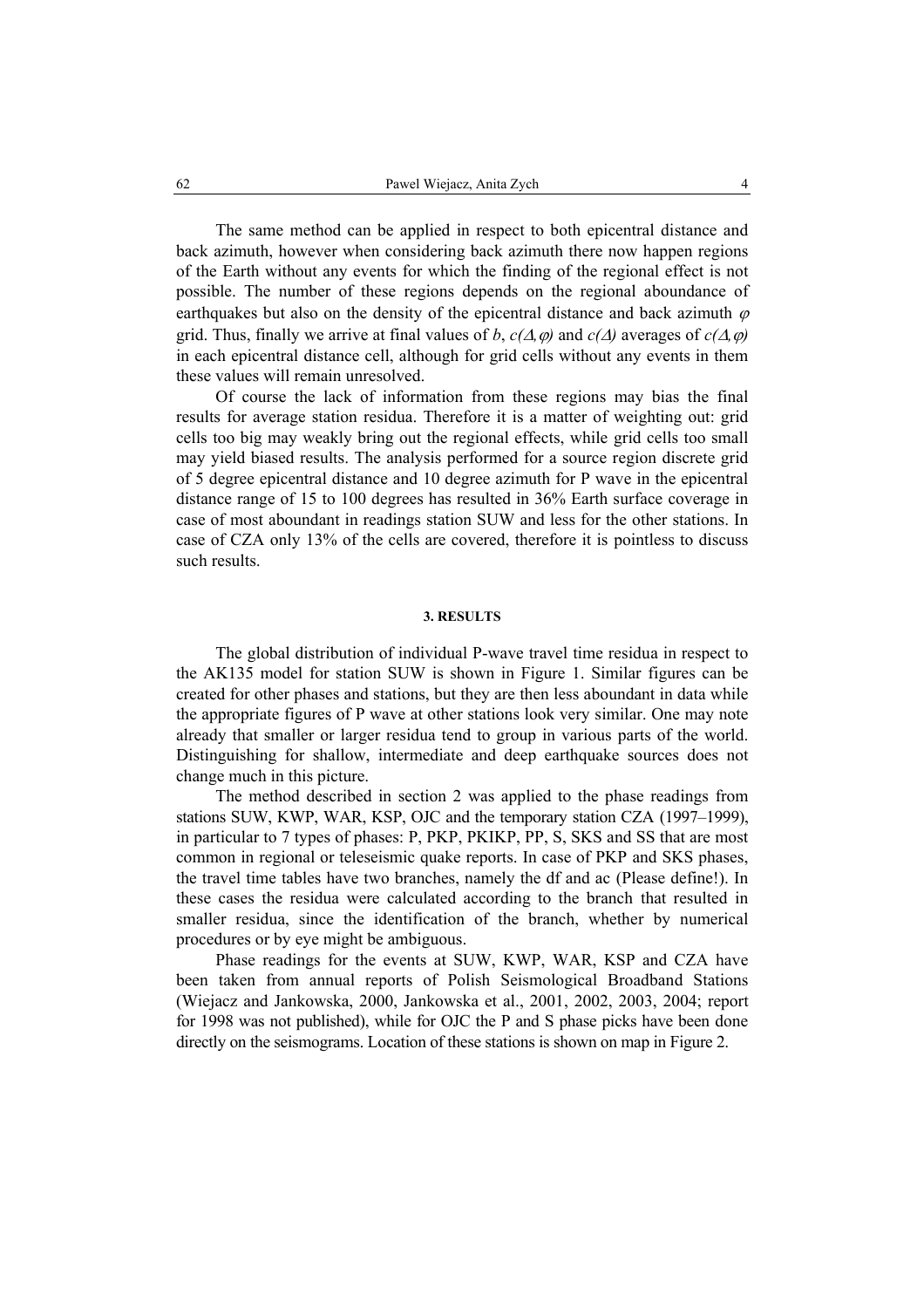The same method can be applied in respect to both epicentral distance and back azimuth, however when considering back azimuth there now happen regions of the Earth without any events for which the finding of the regional effect is not possible. The number of these regions depends on the regional aboundance of earthquakes but also on the density of the epicentral distance and back azimuth  $\varphi$ grid. Thus, finally we arrive at final values of *b*,  $c(\Delta, \varphi)$  and  $c(\Delta)$  averages of  $c(\Delta, \varphi)$ in each epicentral distance cell, although for grid cells without any events in them these values will remain unresolved.

Of course the lack of information from these regions may bias the final results for average station residua. Therefore it is a matter of weighting out: grid cells too big may weakly bring out the regional effects, while grid cells too small may yield biased results. The analysis performed for a source region discrete grid of 5 degree epicentral distance and 10 degree azimuth for P wave in the epicentral distance range of 15 to 100 degrees has resulted in 36% Earth surface coverage in case of most aboundant in readings station SUW and less for the other stations. In case of CZA only 13% of the cells are covered, therefore it is pointless to discuss such results.

## **3. RESULTS**

The global distribution of individual P-wave travel time residua in respect to the AK135 model for station SUW is shown in Figure 1. Similar figures can be created for other phases and stations, but they are then less aboundant in data while the appropriate figures of P wave at other stations look very similar. One may note already that smaller or larger residua tend to group in various parts of the world. Distinguishing for shallow, intermediate and deep earthquake sources does not change much in this picture.

The method described in section 2 was applied to the phase readings from stations SUW, KWP, WAR, KSP, OJC and the temporary station CZA (1997–1999), in particular to 7 types of phases: P, PKP, PKIKP, PP, S, SKS and SS that are most common in regional or teleseismic quake reports. In case of PKP and SKS phases, the travel time tables have two branches, namely the df and ac (Please define!). In these cases the residua were calculated according to the branch that resulted in smaller residua, since the identification of the branch, whether by numerical procedures or by eye might be ambiguous.

Phase readings for the events at SUW, KWP, WAR, KSP and CZA have been taken from annual reports of Polish Seismological Broadband Stations (Wiejacz and Jankowska, 2000, Jankowska et al., 2001, 2002, 2003, 2004; report for 1998 was not published), while for OJC the P and S phase picks have been done directly on the seismograms. Location of these stations is shown on map in Figure 2.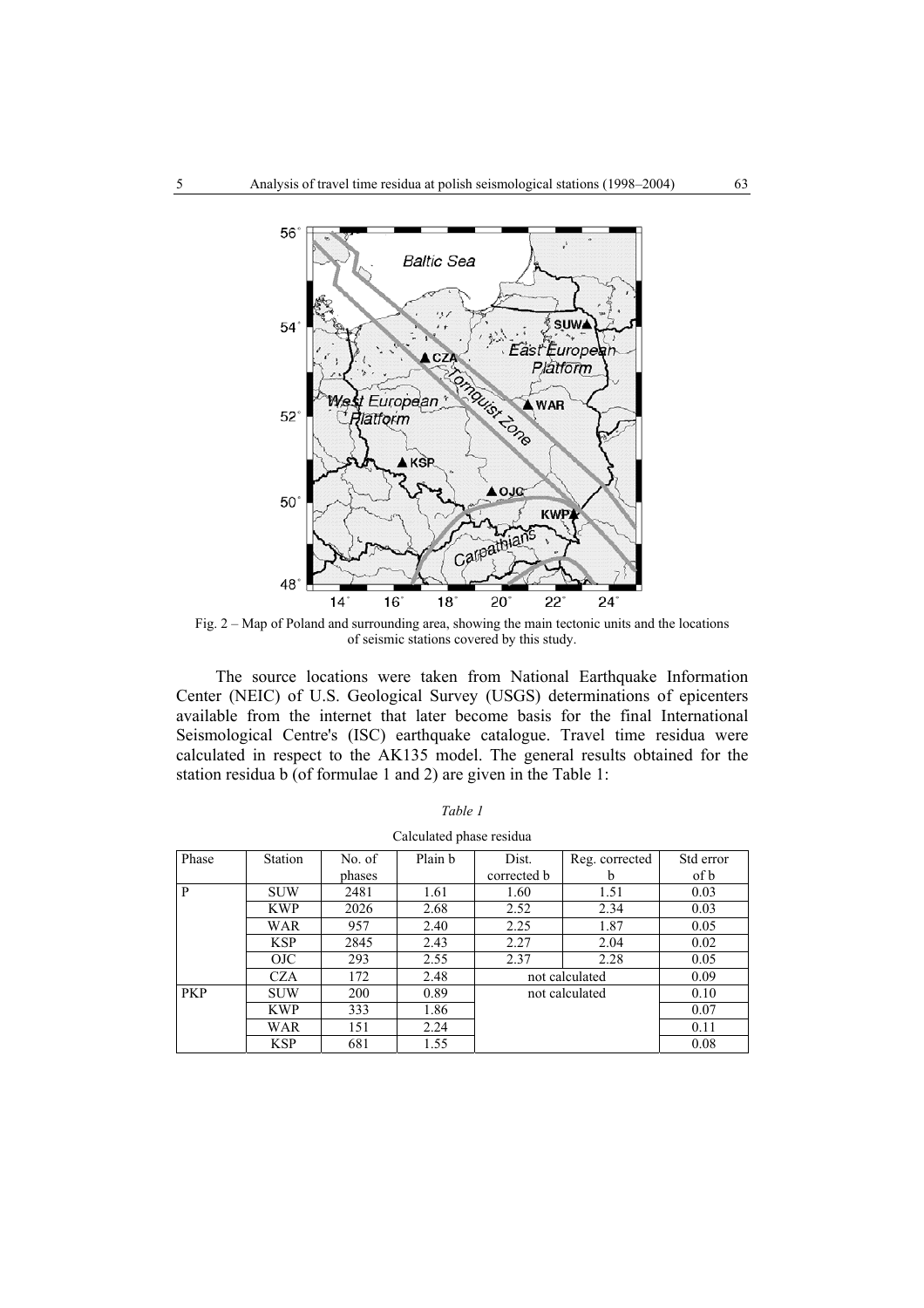

Fig. 2 – Map of Poland and surrounding area, showing the main tectonic units and the locations of seismic stations covered by this study.

The source locations were taken from National Earthquake Information Center (NEIC) of U.S. Geological Survey (USGS) determinations of epicenters available from the internet that later become basis for the final International Seismological Centre's (ISC) earthquake catalogue. Travel time residua were calculated in respect to the AK135 model. The general results obtained for the station residua b (of formulae 1 and 2) are given in the Table 1:

|            |                |                  | Calculated phase residua |                      |                     |                   |
|------------|----------------|------------------|--------------------------|----------------------|---------------------|-------------------|
| Phase      | <b>Station</b> | No. of<br>phases | Plain b                  | Dist.<br>corrected b | Reg. corrected<br>b | Std error<br>of b |
| P          | <b>SUW</b>     | 2481             | 1.61                     | 1.60                 | 1.51                | 0.03              |
|            | <b>KWP</b>     | 2026             | 2.68                     | 2.52                 | 2.34                | 0.03              |
|            | WAR            | 957              | 2.40                     | 2.25                 | 1.87                | 0.05              |
|            | <b>KSP</b>     | 2845             | 2.43                     | 2.27                 | 2.04                | 0.02              |
|            | OJC.           | 293              | 2.55                     | 2.37                 | 2.28                | 0.05              |
|            | CZA            | 172              | 2.48                     | not calculated       |                     | 0.09              |
| <b>PKP</b> | <b>SUW</b>     | 200              | 0.89                     | not calculated       |                     | 0.10              |
|            | <b>KWP</b>     | 333              | 1.86                     |                      |                     | 0.07              |
|            | WAR            | 151              | 2.24                     |                      |                     | 0.11              |
|            | <b>KSP</b>     | 681              | 1.55                     |                      |                     | 0.08              |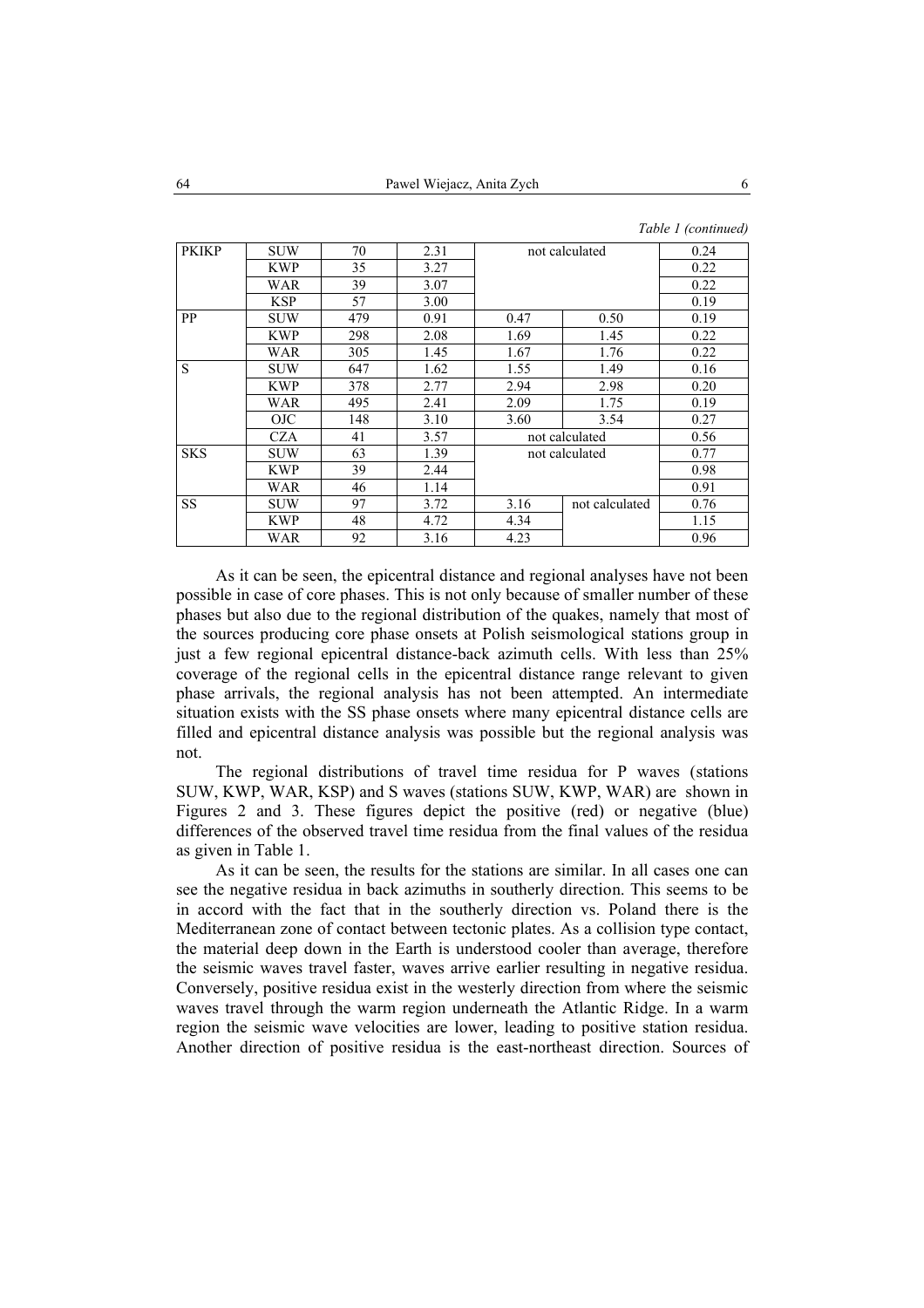*Table 1 (continued)* 

| <b>PKIKP</b> | <b>SUW</b> | 70  | 2.31 | not calculated |                | 0.24 |
|--------------|------------|-----|------|----------------|----------------|------|
|              | <b>KWP</b> | 35  | 3.27 |                |                | 0.22 |
|              | WAR        | 39  | 3.07 |                |                | 0.22 |
|              | <b>KSP</b> | 57  | 3.00 |                |                |      |
| PP           | <b>SUW</b> | 479 | 0.91 | 0.47           | 0.50           | 0.19 |
|              | <b>KWP</b> | 298 | 2.08 | 1.69           | 1.45           | 0.22 |
|              | WAR        | 305 | 1.45 | 1.67           | 1.76           | 0.22 |
| S            | <b>SUW</b> | 647 | 1.62 | 1.55           | 1.49           | 0.16 |
|              | <b>KWP</b> | 378 | 2.77 | 2.94           | 2.98           | 0.20 |
|              | WAR        | 495 | 2.41 | 2.09           | 1.75           | 0.19 |
|              | OJC        | 148 | 3.10 | 3.60           | 3.54           | 0.27 |
|              | <b>CZA</b> | 41  | 3.57 |                | not calculated | 0.56 |
| <b>SKS</b>   | <b>SUW</b> | 63  | 1.39 | not calculated |                | 0.77 |
|              | <b>KWP</b> | 39  | 2.44 |                |                | 0.98 |
|              | WAR        | 46  | 1.14 |                |                | 0.91 |
| SS           | <b>SUW</b> | 97  | 3.72 | 3.16           | not calculated | 0.76 |
|              | <b>KWP</b> | 48  | 4.72 | 4.34           |                | 1.15 |
|              | WAR        | 92  | 3.16 | 4.23           |                | 0.96 |

As it can be seen, the epicentral distance and regional analyses have not been possible in case of core phases. This is not only because of smaller number of these phases but also due to the regional distribution of the quakes, namely that most of the sources producing core phase onsets at Polish seismological stations group in just a few regional epicentral distance-back azimuth cells. With less than 25% coverage of the regional cells in the epicentral distance range relevant to given phase arrivals, the regional analysis has not been attempted. An intermediate situation exists with the SS phase onsets where many epicentral distance cells are filled and epicentral distance analysis was possible but the regional analysis was not.

The regional distributions of travel time residua for P waves (stations SUW, KWP, WAR, KSP) and S waves (stations SUW, KWP, WAR) are shown in Figures 2 and 3. These figures depict the positive (red) or negative (blue) differences of the observed travel time residua from the final values of the residua as given in Table 1.

As it can be seen, the results for the stations are similar. In all cases one can see the negative residua in back azimuths in southerly direction. This seems to be in accord with the fact that in the southerly direction vs. Poland there is the Mediterranean zone of contact between tectonic plates. As a collision type contact, the material deep down in the Earth is understood cooler than average, therefore the seismic waves travel faster, waves arrive earlier resulting in negative residua. Conversely, positive residua exist in the westerly direction from where the seismic waves travel through the warm region underneath the Atlantic Ridge. In a warm region the seismic wave velocities are lower, leading to positive station residua. Another direction of positive residua is the east-northeast direction. Sources of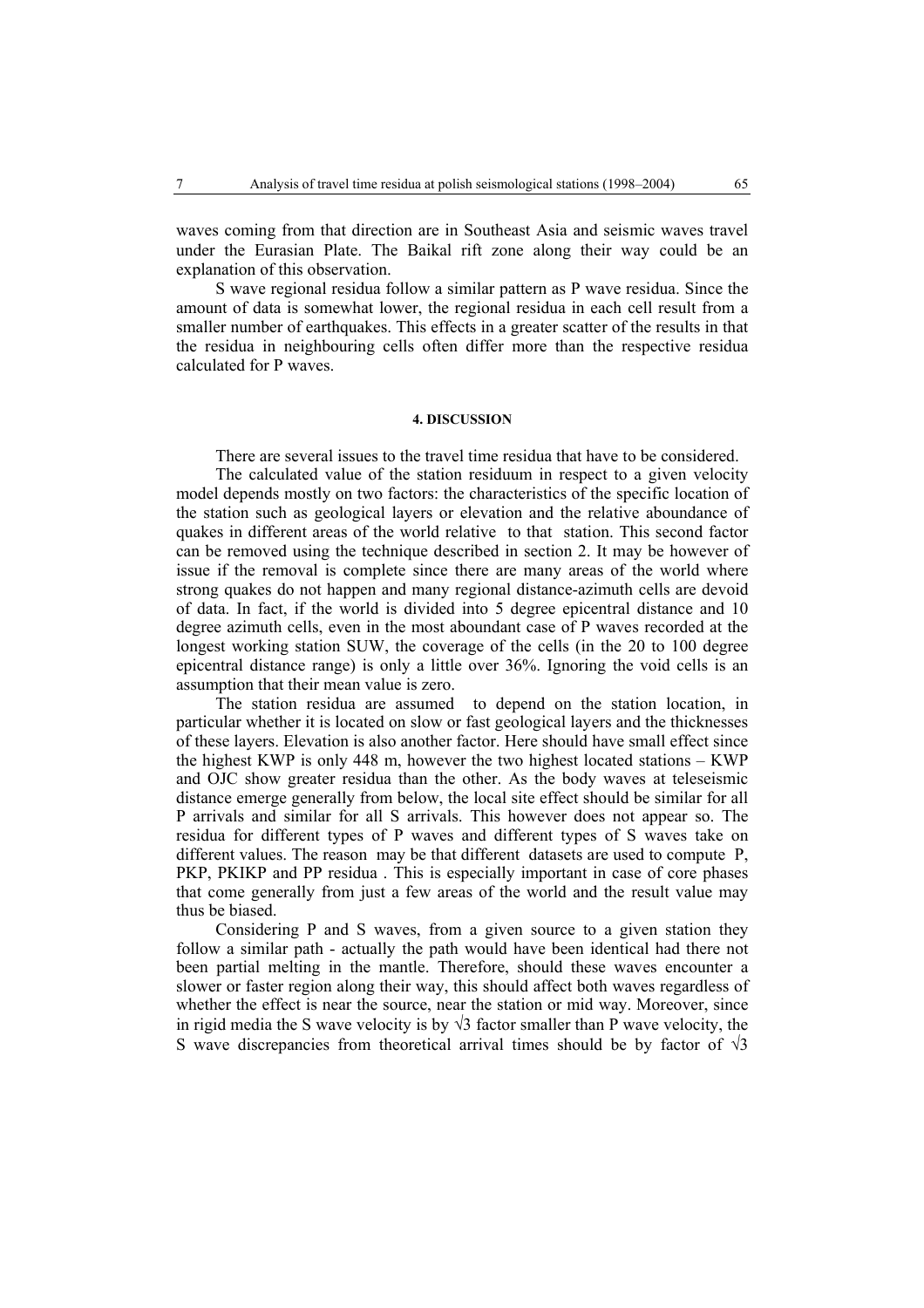waves coming from that direction are in Southeast Asia and seismic waves travel under the Eurasian Plate. The Baikal rift zone along their way could be an explanation of this observation.

S wave regional residua follow a similar pattern as P wave residua. Since the amount of data is somewhat lower, the regional residua in each cell result from a smaller number of earthquakes. This effects in a greater scatter of the results in that the residua in neighbouring cells often differ more than the respective residua calculated for P waves.

## **4. DISCUSSION**

There are several issues to the travel time residua that have to be considered.

The calculated value of the station residuum in respect to a given velocity model depends mostly on two factors: the characteristics of the specific location of the station such as geological layers or elevation and the relative aboundance of quakes in different areas of the world relative to that station. This second factor can be removed using the technique described in section 2. It may be however of issue if the removal is complete since there are many areas of the world where strong quakes do not happen and many regional distance-azimuth cells are devoid of data. In fact, if the world is divided into 5 degree epicentral distance and 10 degree azimuth cells, even in the most aboundant case of P waves recorded at the longest working station SUW, the coverage of the cells (in the 20 to 100 degree epicentral distance range) is only a little over 36%. Ignoring the void cells is an assumption that their mean value is zero.

The station residua are assumed to depend on the station location, in particular whether it is located on slow or fast geological layers and the thicknesses of these layers. Elevation is also another factor. Here should have small effect since the highest KWP is only 448 m, however the two highest located stations – KWP and OJC show greater residua than the other. As the body waves at teleseismic distance emerge generally from below, the local site effect should be similar for all P arrivals and similar for all S arrivals. This however does not appear so. The residua for different types of P waves and different types of S waves take on different values. The reason may be that different datasets are used to compute P, PKP, PKIKP and PP residua . This is especially important in case of core phases that come generally from just a few areas of the world and the result value may thus be biased.

Considering P and S waves, from a given source to a given station they follow a similar path - actually the path would have been identical had there not been partial melting in the mantle. Therefore, should these waves encounter a slower or faster region along their way, this should affect both waves regardless of whether the effect is near the source, near the station or mid way. Moreover, since in rigid media the S wave velocity is by  $\sqrt{3}$  factor smaller than P wave velocity, the S wave discrepancies from theoretical arrival times should be by factor of  $\sqrt{3}$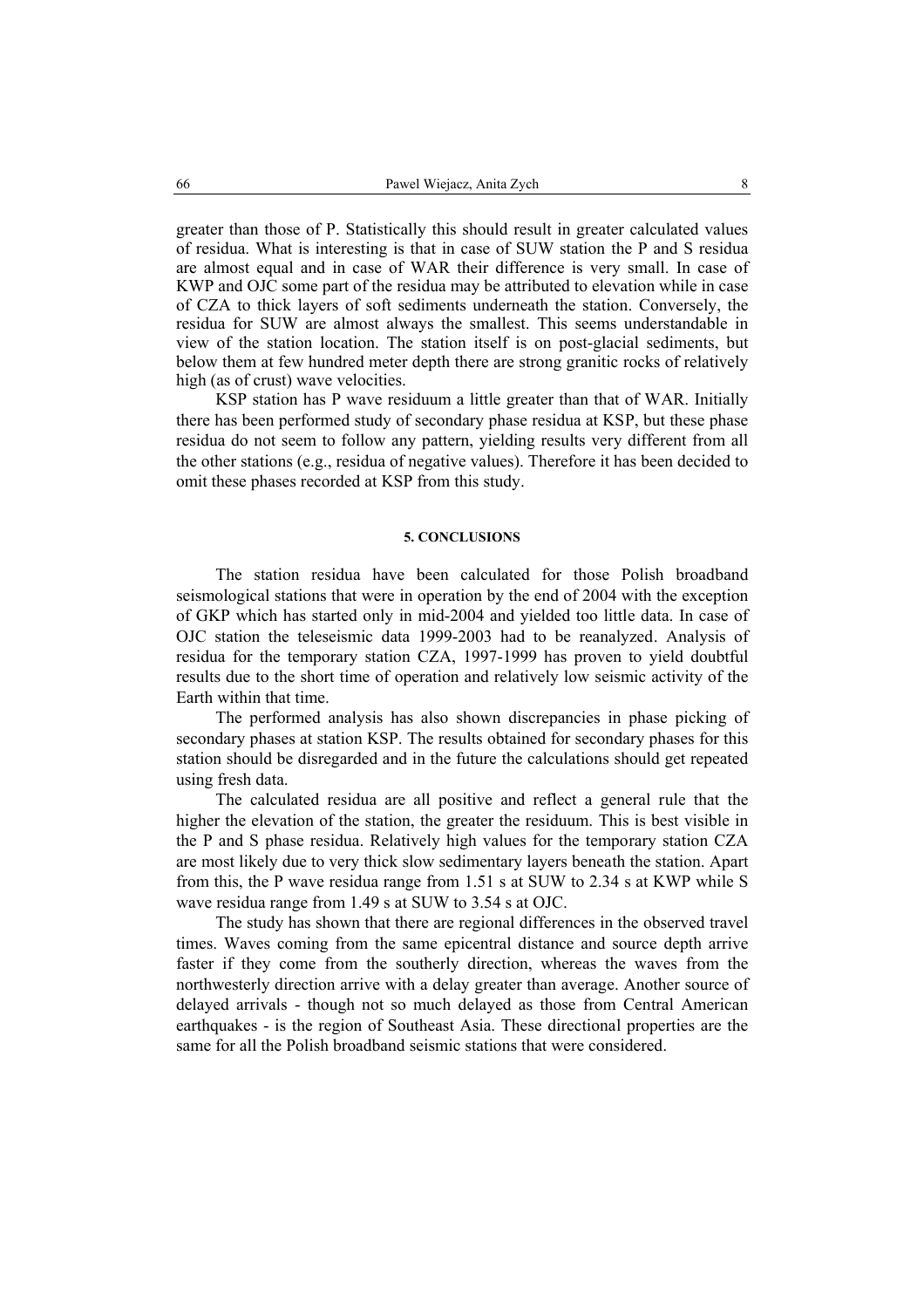greater than those of P. Statistically this should result in greater calculated values of residua. What is interesting is that in case of SUW station the P and S residua are almost equal and in case of WAR their difference is very small. In case of KWP and OJC some part of the residua may be attributed to elevation while in case of CZA to thick layers of soft sediments underneath the station. Conversely, the residua for SUW are almost always the smallest. This seems understandable in view of the station location. The station itself is on post-glacial sediments, but below them at few hundred meter depth there are strong granitic rocks of relatively high (as of crust) wave velocities.

KSP station has P wave residuum a little greater than that of WAR. Initially there has been performed study of secondary phase residua at KSP, but these phase residua do not seem to follow any pattern, yielding results very different from all the other stations (e.g., residua of negative values). Therefore it has been decided to omit these phases recorded at KSP from this study.

# **5. CONCLUSIONS**

The station residua have been calculated for those Polish broadband seismological stations that were in operation by the end of 2004 with the exception of GKP which has started only in mid-2004 and yielded too little data. In case of OJC station the teleseismic data 1999-2003 had to be reanalyzed. Analysis of residua for the temporary station CZA, 1997-1999 has proven to yield doubtful results due to the short time of operation and relatively low seismic activity of the Earth within that time.

The performed analysis has also shown discrepancies in phase picking of secondary phases at station KSP. The results obtained for secondary phases for this station should be disregarded and in the future the calculations should get repeated using fresh data.

The calculated residua are all positive and reflect a general rule that the higher the elevation of the station, the greater the residuum. This is best visible in the P and S phase residua. Relatively high values for the temporary station CZA are most likely due to very thick slow sedimentary layers beneath the station. Apart from this, the P wave residua range from 1.51 s at SUW to 2.34 s at KWP while S wave residua range from 1.49 s at SUW to 3.54 s at OJC.

The study has shown that there are regional differences in the observed travel times. Waves coming from the same epicentral distance and source depth arrive faster if they come from the southerly direction, whereas the waves from the northwesterly direction arrive with a delay greater than average. Another source of delayed arrivals - though not so much delayed as those from Central American earthquakes - is the region of Southeast Asia. These directional properties are the same for all the Polish broadband seismic stations that were considered.